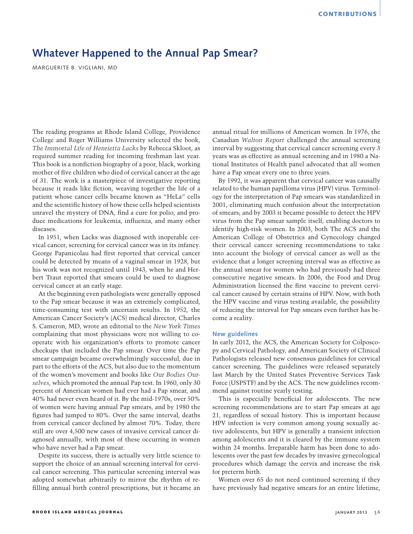# **Whatever Happened to the Annual Pap Smear?**

MARGUERITE B. VIGLIANI, MD

The reading programs at Rhode Island College, Providence College and Roger Williams University selected the book, *The Immortal Life of Henrietta Lacks* by Rebecca Skloot, as required summer reading for incoming freshman last year. This book is a nonfiction biography of a poor, black, working mother of five children who died of cervical cancer at the age of 31. The work is a masterpiece of investigative reporting because it reads like fiction, weaving together the life of a patient whose cancer cells became known as "HeLa" cells and the scientific history of how these cells helped scientists unravel the mystery of DNA, find a cure for polio, and produce medications for leukemia, influenza, and many other diseases.

In 1951, when Lacks was diagnosed with inoperable cervical cancer, screening for cervical cancer was in its infancy. George Papanicolau had first reported that cervical cancer could be detected by means of a vaginal smear in 1928, but his work was not recognized until 1943, when he and Herbert Traut reported that smears could be used to diagnose cervical cancer at an early stage.

At the beginning even pathologists were generally opposed to the Pap smear because it was an extremely complicated, time-consuming test with uncertain results. In 1952, the American Cancer Society's (ACS) medical director, Charles S. Cameron, MD, wrote an editorial to the *New York Times* complaining that most physicians were not willing to cooperate with his organization's efforts to promote cancer checkups that included the Pap smear. Over time the Pap smear campaign became overwhelmingly successful, due in part to the efforts of the ACS, but also due to the momentum of the women's movement and books like *Our Bodies Ourselves*, which promoted the annual Pap test. In 1960, only 30 percent of American women had ever had a Pap smear, and 40% had never even heard of it. By the mid-1970s, over 50% of women were having annual Pap smears, and by 1980 the figures had jumped to 80%. Over the same interval, deaths from cervical cancer declined by almost 70%. Today, there still are over 4,500 new cases of invasive cervical cancer diagnosed annually, with most of these occurring in women who have never had a Pap smear.

Despite its success, there is actually very little science to support the choice of an annual screening interval for cervical cancer screening. This particular screening interval was adopted somewhat arbitrarily to mirror the rhythm of refilling annual birth control prescriptions, but it became an annual ritual for millions of American women. In 1976, the Canadian *Walton Report* challenged the annual screening interval by suggesting that cervical cancer screening every 3 years was as effective as annual screening and in 1980 a National Institutes of Health panel advocated that all women have a Pap smear every one to three years.

By 1992, it was apparent that cervical cancer was causally related to the human papilloma virus (HPV) virus. Terminology for the interpretation of Pap smears was standardized in 2001, eliminating much confusion about the interpretation of smears; and by 2003 it became possible to detect the HPV virus from the Pap smear sample itself, enabling doctors to identify high-risk women. In 2003, both The ACS and the American College of Obstetrics and Gynecology changed their cervical cancer screening recommendations to take into account the biology of cervical cancer as well as the evidence that a longer screening interval was as effective as the annual smear for women who had previously had three consecutive negative smears. In 2006, the Food and Drug Administration licensed the first vaccine to prevent cervical cancer caused by certain strains of HPV. Now, with both the HPV vaccine and virus testing available, the possibility of reducing the interval for Pap smears even further has become a reality.

## **New guidelines**

In early 2012, the ACS, the American Society for Colposcopy and Cervical Pathology, and American Society of Clinical Pathologists released new consensus guidelines for cervical cancer screening. The guidelines were released separately last March by the United States Preventive Services Task Force (USPSTF) and by the ACS. The new guidelines recommend against routine yearly testing.

This is especially beneficial for adolescents. The new screening recommendations are to start Pap smears at age 21, regardless of sexual history. This is important because HPV infection is very common among young sexually active adolescents, but HPV is generally a transient infection among adolescents and it is cleared by the immune system within 24 months. Irreparable harm has been done to adolescents over the past few decades by invasive gynecological procedures which damage the cervix and increase the risk for preterm birth.

Women over 65 do not need continued screening if they have previously had negative smears for an entire lifetime,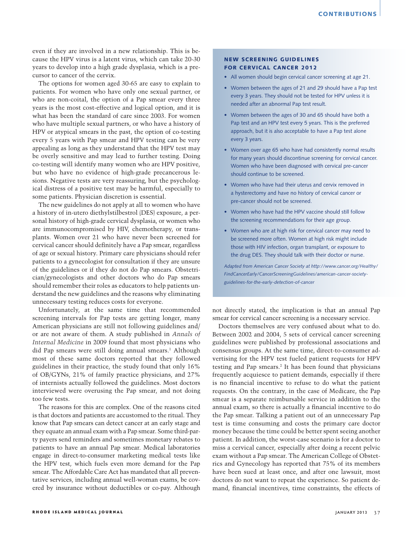even if they are involved in a new relationship. This is because the HPV virus is a latent virus, which can take 20-30 years to develop into a high grade dysplasia, which is a precursor to cancer of the cervix.

The options for women aged 30-65 are easy to explain to patients. For women who have only one sexual partner, or who are non-coital, the option of a Pap smear every three years is the most cost-effective and logical option, and it is what has been the standard of care since 2003. For women who have multiple sexual partners, or who have a history of HPV or atypical smears in the past, the option of co-testing every 5 years with Pap smear and HPV testing can be very appealing as long as they understand that the HPV test may be overly sensitive and may lead to further testing. Doing co-testing will identify many women who are HPV positive, but who have no evidence of high-grade precancerous lesions. Negative tests are very reassuring, but the psychological distress of a positive test may be harmful, especially to some patients. Physician discretion is essential.

The new guidelines do not apply at all to women who have a history of in-utero diethylstilbestrol (DES) exposure, a personal history of high-grade cervical dysplasia, or women who are immunocompromised by HIV, chemotherapy, or transplants. Women over 21 who have never been screened for cervical cancer should definitely have a Pap smear, regardless of age or sexual history. Primary care physicians should refer patients to a gynecologist for consultation if they are unsure of the guidelines or if they do not do Pap smears. Obstetrician/gynecologists and other doctors who do Pap smears should remember their roles as educators to help patients understand the new guidelines and the reasons why eliminating unnecessary testing reduces costs for everyone.

Unfortunately, at the same time that recommended screening intervals for Pap tests are getting longer, many American physicians are still not following guidelines and/ or are not aware of them. A study published in *Annals of Internal Medicine* in 2009 found that most physicians who did Pap smears were still doing annual smears.<sup>1</sup> Although most of these same doctors reported that they followed guidelines in their practice, the study found that only 16% of OB/GYNs, 21% of family practice physicians, and 27% of internists actually followed the guidelines. Most doctors interviewed were overusing the Pap smear, and not doing too few tests.

The reasons for this are complex. One of the reasons cited is that doctors and patients are accustomed to the ritual. They know that Pap smears can detect cancer at an early stage and they equate an annual exam with a Pap smear. Some third-party payers send reminders and sometimes monetary rebates to patients to have an annual Pap smear. Medical laboratories engage in direct-to-consumer marketing medical tests like the HPV test, which fuels even more demand for the Pap smear. The Affordable Care Act has mandated that all preventative services, including annual well-woman exams, be covered by insurance without deductibles or co-pay. Although

# NEW SCREENING GUIDELINES FOR CERVICAL CANCER 2012

- All women should begin cervical cancer screening at age 21.
- Women between the ages of 21 and 29 should have a Pap test every 3 years. They should not be tested for HPV unless it is needed after an abnormal Pap test result.
- Women between the ages of 30 and 65 should have both a Pap test and an HPV test every 5 years. This is the preferred approach, but it is also acceptable to have a Pap test alone every 3 years.
- Women over age 65 who have had consistently normal results for many years should discontinue screening for cervical cancer. Women who have been diagnosed with cervical pre-cancer should continue to be screened.
- Women who have had their uterus and cervix removed in a hysterectomy and have no history of cervical cancer or pre-cancer should not be screened.
- Women who have had the HPV vaccine should still follow the screening recommendations for their age group.
- Women who are at high risk for cervical cancer may need to be screened more often. Women at high risk might include those with HIV infection, organ transplant, or exposure to the drug DES. They should talk with their doctor or nurse.

*Adapted from American Cancer Society at http://www.cancer.org/Healthy/ FindCancerEarly/CancerScreeningGuidelines/american-cancer-societyguidelines-for-the-early-detection-of-cancer*

not directly stated, the implication is that an annual Pap smear for cervical cancer screening is a necessary service.

Doctors themselves are very confused about what to do. Between 2002 and 2004, 5 sets of cervical cancer screening guidelines were published by professional associations and consensus groups. At the same time, direct-to-consumer advertising for the HPV test fueled patient requests for HPV testing and Pap smears.2 It has been found that physicians frequently acquiesce to patient demands, especially if there is no financial incentive to refuse to do what the patient requests. On the contrary, in the case of Medicare, the Pap smear is a separate reimbursable service in addition to the annual exam, so there is actually a financial incentive to do the Pap smear. Talking a patient out of an unnecessary Pap test is time consuming and costs the primary care doctor money because the time could be better spent seeing another patient. In addition, the worst-case scenario is for a doctor to miss a cervical cancer, especially after doing a recent pelvic exam without a Pap smear. The American College of Obstetrics and Gynecology has reported that 75% of its members have been sued at least once, and after one lawsuit, most doctors do not want to repeat the experience. So patient demand, financial incentives, time constraints, the effects of